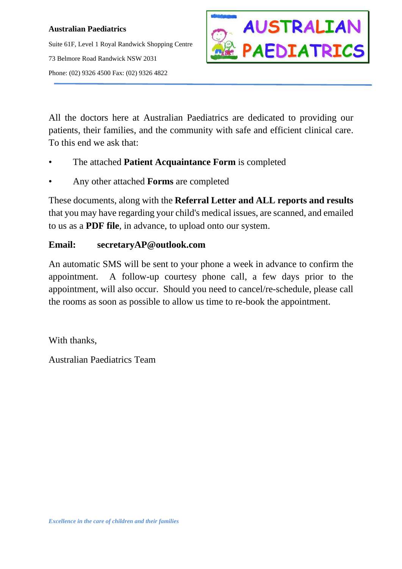## **Australian Paediatrics**

Suite 61F, Level 1 Royal Randwick Shopping Centre 73 Belmore Road Randwick NSW 2031 Phone: (02) 9326 4500 Fax: (02) 9326 4822



All the doctors here at Australian Paediatrics are dedicated to providing our patients, their families, and the community with safe and efficient clinical care. To this end we ask that:

- The attached **Patient Acquaintance Form** is completed
- Any other attached **Forms** are completed

These documents, along with the **Referral Letter and ALL reports and results** that you may have regarding your child's medical issues, are scanned, and emailed to us as a **PDF file**, in advance, to upload onto our system.

## **Email: secretaryAP@outlook.com**

An automatic SMS will be sent to your phone a week in advance to confirm the appointment. A follow-up courtesy phone call, a few days prior to the appointment, will also occur. Should you need to cancel/re-schedule, please call the rooms as soon as possible to allow us time to re-book the appointment.

With thanks,

Australian Paediatrics Team